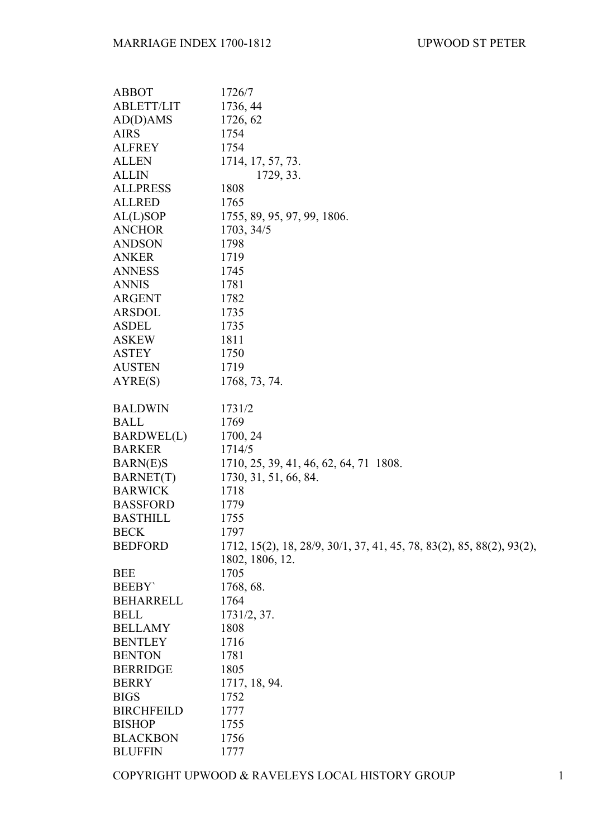| <b>ABBOT</b>      | 1726/7                                                                                   |
|-------------------|------------------------------------------------------------------------------------------|
| <b>ABLETT/LIT</b> | 1736, 44                                                                                 |
| AD(D)AMS          | 1726, 62                                                                                 |
| <b>AIRS</b>       | 1754                                                                                     |
| <b>ALFREY</b>     | 1754                                                                                     |
| <b>ALLEN</b>      | 1714, 17, 57, 73.                                                                        |
| <b>ALLIN</b>      | 1729, 33.                                                                                |
| <b>ALLPRESS</b>   | 1808                                                                                     |
| <b>ALLRED</b>     | 1765                                                                                     |
| AL(L)SOP          | 1755, 89, 95, 97, 99, 1806.                                                              |
| <b>ANCHOR</b>     | 1703, 34/5                                                                               |
| <b>ANDSON</b>     | 1798                                                                                     |
| <b>ANKER</b>      | 1719                                                                                     |
| <b>ANNESS</b>     | 1745                                                                                     |
| <b>ANNIS</b>      | 1781                                                                                     |
| ARGENT            | 1782                                                                                     |
| <b>ARSDOL</b>     | 1735                                                                                     |
| <b>ASDEL</b>      | 1735                                                                                     |
| <b>ASKEW</b>      | 1811                                                                                     |
| <b>ASTEY</b>      | 1750                                                                                     |
| <b>AUSTEN</b>     | 1719                                                                                     |
| AYRE(S)           | 1768, 73, 74.                                                                            |
| <b>BALDWIN</b>    | 1731/2                                                                                   |
| <b>BALL</b>       | 1769                                                                                     |
| BARDWEL(L)        | 1700, 24                                                                                 |
| <b>BARKER</b>     | 1714/5                                                                                   |
| <b>BARN(E)S</b>   | 1710, 25, 39, 41, 46, 62, 64, 71 1808.                                                   |
| <b>BARNET(T)</b>  | 1730, 31, 51, 66, 84.                                                                    |
| <b>BARWICK</b>    | 1718                                                                                     |
| <b>BASSFORD</b>   | 1779                                                                                     |
| <b>BASTHILL</b>   | 1755                                                                                     |
| <b>BECK</b>       | 1797                                                                                     |
| <b>BEDFORD</b>    | 1712, 15(2), 18, 28/9, 30/1, 37, 41, 45, 78, 83(2), 85, 88(2), 93(2),<br>1802, 1806, 12. |
| <b>BEE</b>        | 1705                                                                                     |
| <b>BEEBY</b>      | 1768, 68.                                                                                |
| <b>BEHARRELL</b>  | 1764                                                                                     |
| <b>BELL</b>       | 1731/2, 37.                                                                              |
| <b>BELLAMY</b>    | 1808                                                                                     |
| <b>BENTLEY</b>    | 1716                                                                                     |
| <b>BENTON</b>     | 1781                                                                                     |
| <b>BERRIDGE</b>   | 1805                                                                                     |
| <b>BERRY</b>      | 1717, 18, 94.                                                                            |
| <b>BIGS</b>       | 1752                                                                                     |
| <b>BIRCHFEILD</b> | 1777                                                                                     |
| <b>BISHOP</b>     | 1755                                                                                     |
| <b>BLACKBON</b>   | 1756                                                                                     |
| <b>BLUFFIN</b>    | 1777                                                                                     |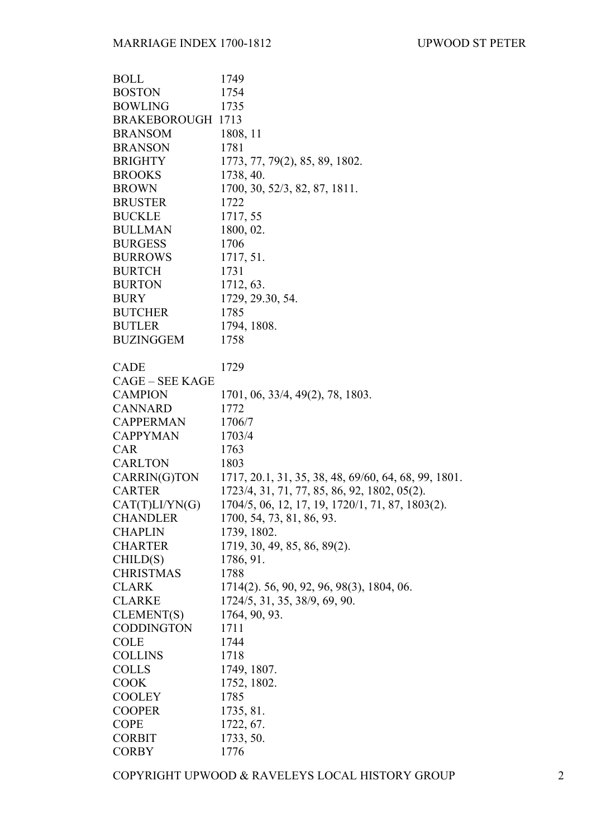| <b>BOLL</b>            | 1749                                                 |
|------------------------|------------------------------------------------------|
| <b>BOSTON</b>          | 1754                                                 |
| <b>BOWLING</b>         | 1735                                                 |
| BRAKEBOROUGH 1713      |                                                      |
| <b>BRANSOM</b>         | 1808, 11                                             |
| <b>BRANSON</b>         | 1781                                                 |
| <b>BRIGHTY</b>         | 1773, 77, 79(2), 85, 89, 1802.                       |
| <b>BROOKS</b>          | 1738, 40.                                            |
| <b>BROWN</b>           | 1700, 30, 52/3, 82, 87, 1811.                        |
| <b>BRUSTER</b>         | 1722                                                 |
| <b>BUCKLE</b>          | 1717, 55                                             |
| <b>BULLMAN</b>         | 1800, 02.                                            |
| <b>BURGESS</b>         | 1706                                                 |
| <b>BURROWS</b>         | 1717, 51.                                            |
| <b>BURTCH</b>          | 1731                                                 |
| <b>BURTON</b>          | 1712, 63.                                            |
| <b>BURY</b>            | 1729, 29.30, 54.                                     |
| <b>BUTCHER</b>         | 1785                                                 |
| <b>BUTLER</b>          | 1794, 1808.                                          |
| <b>BUZINGGEM</b>       | 1758                                                 |
|                        |                                                      |
| CADE                   | 1729                                                 |
| <b>CAGE – SEE KAGE</b> |                                                      |
| <b>CAMPION</b>         | 1701, 06, 33/4, 49(2), 78, 1803.                     |
| CANNARD                | 1772                                                 |
| <b>CAPPERMAN</b>       | 1706/7                                               |
| <b>CAPPYMAN</b>        | 1703/4                                               |
| <b>CAR</b>             | 1763                                                 |
| <b>CARLTON</b>         | 1803                                                 |
| CARRIN(G)TON           | 1717, 20.1, 31, 35, 38, 48, 69/60, 64, 68, 99, 1801. |
| <b>CARTER</b>          | 1723/4, 31, 71, 77, 85, 86, 92, 1802, 05(2).         |
| CAT(T)LI/YN(G)         | 1704/5, 06, 12, 17, 19, 1720/1, 71, 87, 1803(2).     |
| CHANDLER               | 1700, 54, 73, 81, 86, 93.                            |
| <b>CHAPLIN</b>         | 1739, 1802.                                          |
| <b>CHARTER</b>         | 1719, 30, 49, 85, 86, 89(2).                         |
| CHILD(S)               | 1786, 91.                                            |
| <b>CHRISTMAS</b>       | 1788                                                 |
| <b>CLARK</b>           | 1714(2). 56, 90, 92, 96, 98(3), 1804, 06.            |
| <b>CLARKE</b>          | 1724/5, 31, 35, 38/9, 69, 90.                        |
| CLEMENT(S)             | 1764, 90, 93.                                        |
| <b>CODDINGTON</b>      | 1711                                                 |
| <b>COLE</b>            | 1744                                                 |
| <b>COLLINS</b>         | 1718                                                 |
| <b>COLLS</b>           | 1749, 1807.                                          |
| <b>COOK</b>            | 1752, 1802.                                          |
| <b>COOLEY</b>          | 1785                                                 |
| <b>COOPER</b>          | 1735, 81.                                            |
| <b>COPE</b>            | 1722, 67.                                            |
| <b>CORBIT</b>          | 1733, 50.                                            |
| <b>CORBY</b>           | 1776                                                 |
|                        |                                                      |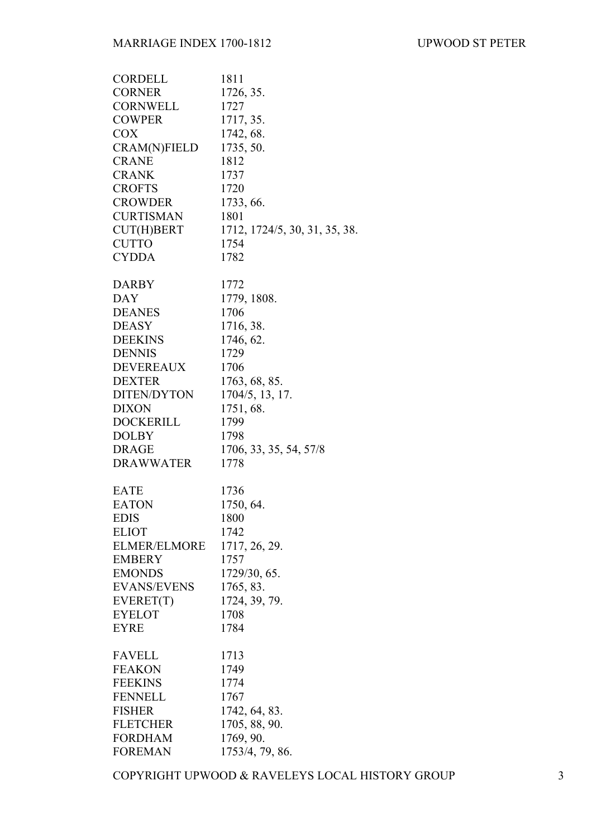| CORDELL             | 1811                          |
|---------------------|-------------------------------|
| <b>CORNER</b>       | 1726, 35.                     |
| CORNWELL            | 1727                          |
| <b>COWPER</b>       | 1717, 35.                     |
| <b>COX</b>          | 1742, 68.                     |
| <b>CRAM(N)FIELD</b> | 1735, 50.                     |
| <b>CRANE</b>        | 1812                          |
| <b>CRANK</b>        | 1737                          |
| <b>CROFTS</b>       | 1720                          |
| <b>CROWDER</b>      | 1733, 66.                     |
| <b>CURTISMAN</b>    | 1801                          |
| CUT(H)BERT          | 1712, 1724/5, 30, 31, 35, 38. |
| <b>CUTTO</b>        | 1754                          |
| <b>CYDDA</b>        | 1782                          |
|                     |                               |
| <b>DARBY</b>        | 1772                          |
| DAY                 | 1779, 1808.                   |
| <b>DEANES</b>       | 1706                          |
| <b>DEASY</b>        | 1716, 38.                     |
| <b>DEEKINS</b>      | 1746, 62.                     |
| <b>DENNIS</b>       | 1729                          |
| DEVEREAUX           | 1706                          |
| <b>DEXTER</b>       | 1763, 68, 85.                 |
| DITEN/DYTON         | 1704/5, 13, 17.               |
| <b>DIXON</b>        | 1751, 68.                     |
| <b>DOCKERILL</b>    | 1799                          |
| <b>DOLBY</b>        | 1798                          |
| <b>DRAGE</b>        | 1706, 33, 35, 54, 57/8        |
| <b>DRAWWATER</b>    | 1778                          |
|                     |                               |
| <b>EATE</b>         | 1736                          |
| <b>EATON</b>        | 1750, 64.                     |
| <b>EDIS</b>         | 1800                          |
| <b>ELIOT</b>        | 1742                          |
| <b>ELMER/ELMORE</b> | 1717, 26, 29.                 |
| <b>EMBERY</b>       | 1757                          |
| <b>EMONDS</b>       | 1729/30, 65.                  |
| <b>EVANS/EVENS</b>  | 1765, 83.                     |
| EVERET(T)           | 1724, 39, 79.                 |
| <b>EYELOT</b>       | 1708                          |
| <b>EYRE</b>         | 1784                          |
|                     |                               |
| <b>FAVELL</b>       | 1713                          |
| <b>FEAKON</b>       | 1749                          |
| <b>FEEKINS</b>      | 1774                          |
| <b>FENNELL</b>      | 1767                          |
| <b>FISHER</b>       | 1742, 64, 83.                 |
| <b>FLETCHER</b>     | 1705, 88, 90.                 |
| <b>FORDHAM</b>      | 1769, 90.                     |
| <b>FOREMAN</b>      | 1753/4, 79, 86.               |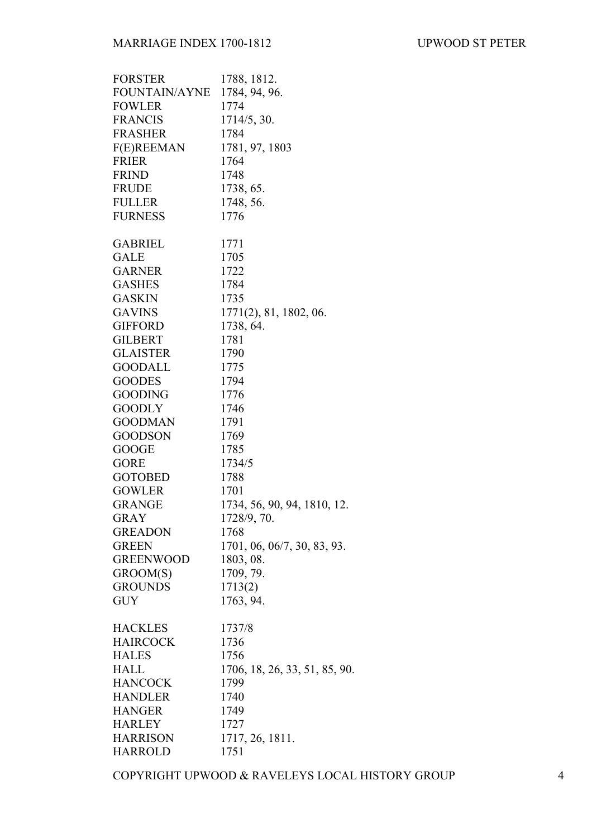| <b>FORSTER</b>   | 1788, 1812.                   |
|------------------|-------------------------------|
| FOUNTAIN/AYNE    | 1784, 94, 96.                 |
| <b>FOWLER</b>    | 1774                          |
| <b>FRANCIS</b>   | 1714/5, 30.                   |
| <b>FRASHER</b>   | 1784                          |
| F(E)REEMAN       | 1781, 97, 1803                |
| <b>FRIER</b>     | 1764                          |
|                  |                               |
| <b>FRIND</b>     | 1748                          |
| <b>FRUDE</b>     | 1738, 65.                     |
| <b>FULLER</b>    | 1748, 56.                     |
| <b>FURNESS</b>   | 1776                          |
| <b>GABRIEL</b>   | 1771                          |
| GALE             | 1705                          |
| <b>GARNER</b>    | 1722                          |
| <b>GASHES</b>    | 1784                          |
| <b>GASKIN</b>    | 1735                          |
| <b>GAVINS</b>    |                               |
|                  | $1771(2)$ , 81, 1802, 06.     |
| <b>GIFFORD</b>   | 1738, 64.                     |
| <b>GILBERT</b>   | 1781                          |
| <b>GLAISTER</b>  | 1790                          |
| <b>GOODALL</b>   | 1775                          |
| <b>GOODES</b>    | 1794                          |
| <b>GOODING</b>   | 1776                          |
| <b>GOODLY</b>    | 1746                          |
| <b>GOODMAN</b>   | 1791                          |
| <b>GOODSON</b>   | 1769                          |
| <b>GOOGE</b>     | 1785                          |
| <b>GORE</b>      | 1734/5                        |
| <b>GOTOBED</b>   | 1788                          |
| <b>GOWLER</b>    | 1701                          |
| <b>GRANGE</b>    | 1734, 56, 90, 94, 1810, 12.   |
| GRAY             | 1728/9, 70.                   |
| <b>GREADON</b>   |                               |
|                  | 1768                          |
| <b>GREEN</b>     | 1701, 06, 06/7, 30, 83, 93.   |
| <b>GREENWOOD</b> | 1803, 08.                     |
| GROOM(S)         | 1709, 79.                     |
| <b>GROUNDS</b>   | 1713(2)                       |
| <b>GUY</b>       | 1763, 94.                     |
| <b>HACKLES</b>   | 1737/8                        |
| <b>HAIRCOCK</b>  | 1736                          |
| <b>HALES</b>     | 1756                          |
| <b>HALL</b>      | 1706, 18, 26, 33, 51, 85, 90. |
| <b>HANCOCK</b>   | 1799                          |
| <b>HANDLER</b>   | 1740                          |
| <b>HANGER</b>    | 1749                          |
| <b>HARLEY</b>    | 1727                          |
| <b>HARRISON</b>  | 1717, 26, 1811.               |
| <b>HARROLD</b>   | 1751                          |
|                  |                               |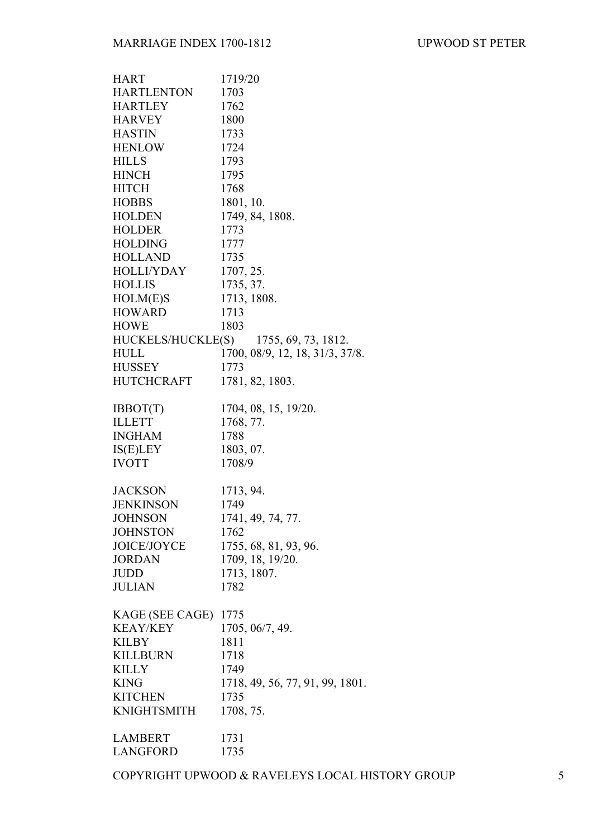| <b>HART</b>      | 1719/20                               |
|------------------|---------------------------------------|
| HARTLENTON       | 1703                                  |
| <b>HARTLEY</b>   | 1762                                  |
| <b>HARVEY</b>    | 1800                                  |
| <b>HASTIN</b>    | 1733                                  |
| <b>HENLOW</b>    | 1724                                  |
| <b>HILLS</b>     | 1793                                  |
| <b>HINCH</b>     | 1795                                  |
| <b>HITCH</b>     | 1768                                  |
| <b>HOBBS</b>     | 1801, 10.                             |
| <b>HOLDEN</b>    | 1749, 84, 1808.                       |
| <b>HOLDER</b>    | 1773                                  |
| <b>HOLDING</b>   | 1777                                  |
| <b>HOLLAND</b>   | 1735                                  |
| HOLLI/YDAY       | 1707, 25.                             |
| <b>HOLLIS</b>    |                                       |
|                  | 1735, 37.                             |
| HOLM(E)S         | 1713, 1808.                           |
| <b>HOWARD</b>    | 1713                                  |
| <b>HOWE</b>      | 1803                                  |
|                  | HUCKELS/HUCKLE(S) 1755, 69, 73, 1812. |
| <b>HULL</b>      | 1700, 08/9, 12, 18, 31/3, 37/8.       |
| <b>HUSSEY</b>    | 1773                                  |
| HUTCHCRAFT       | 1781, 82, 1803.                       |
| IBBOT(T)         | 1704, 08, 15, 19/20.                  |
| <b>ILLETT</b>    | 1768, 77.                             |
| <b>INGHAM</b>    | 1788                                  |
| IS(E)LEY         | 1803, 07.                             |
| <b>IVOTT</b>     | 1708/9                                |
|                  |                                       |
| <b>JACKSON</b>   | 1713, 94.                             |
| <b>JENKINSON</b> | 1749                                  |
| <b>JOHNSON</b>   | 1741, 49, 74, 77.                     |
| <b>JOHNSTON</b>  | 1762                                  |
| JOICE/JOYCE      | 1755, 68, 81, 93, 96.                 |
| <b>JORDAN</b>    | 1709, 18, 19/20.                      |
| <b>JUDD</b>      | 1713, 1807.                           |
| <b>JULIAN</b>    | 1782                                  |
|                  |                                       |
| KAGE (SEE CAGE)  | 1775                                  |
| <b>KEAY/KEY</b>  | 1705, 06/7, 49.                       |
| <b>KILBY</b>     | 1811                                  |
| <b>KILLBURN</b>  | 1718                                  |
| <b>KILLY</b>     | 1749                                  |
| <b>KING</b>      | 1718, 49, 56, 77, 91, 99, 1801.       |
| <b>KITCHEN</b>   | 1735                                  |
| KNIGHTSMITH      | 1708, 75.                             |
| <b>LAMBERT</b>   | 1731                                  |
| <b>LANGFORD</b>  | 1735                                  |
|                  |                                       |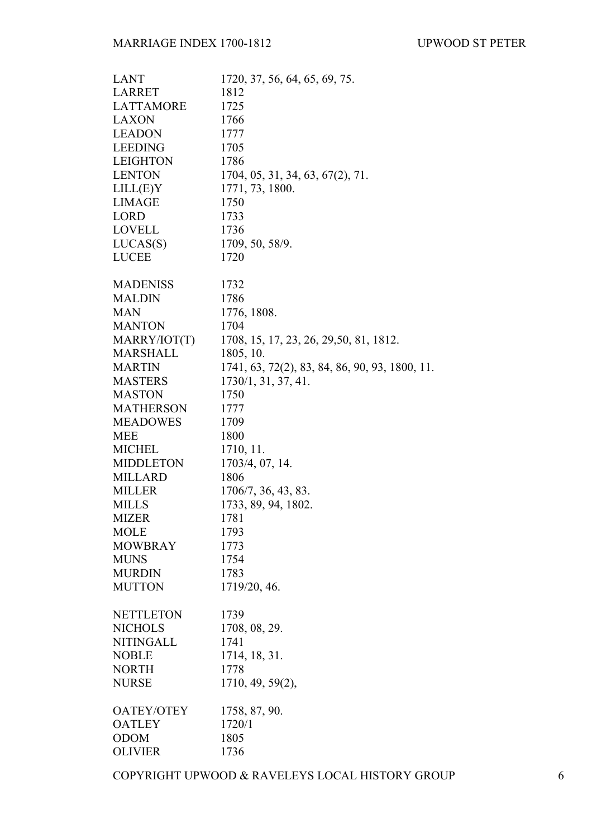| <b>LANT</b>       | 1720, 37, 56, 64, 65, 69, 75.                  |
|-------------------|------------------------------------------------|
| <b>LARRET</b>     | 1812                                           |
| <b>LATTAMORE</b>  | 1725                                           |
| <b>LAXON</b>      | 1766                                           |
| <b>LEADON</b>     | 1777                                           |
| <b>LEEDING</b>    | 1705                                           |
| <b>LEIGHTON</b>   | 1786                                           |
| <b>LENTON</b>     | 1704, 05, 31, 34, 63, 67(2), 71.               |
| LILL(E)Y          | 1771, 73, 1800.                                |
| <b>LIMAGE</b>     | 1750                                           |
| <b>LORD</b>       | 1733                                           |
| <b>LOVELL</b>     |                                                |
|                   | 1736                                           |
| LUCAS(S)          | 1709, 50, 58/9.                                |
| <b>LUCEE</b>      | 1720                                           |
| <b>MADENISS</b>   | 1732                                           |
| <b>MALDIN</b>     | 1786                                           |
| <b>MAN</b>        | 1776, 1808.                                    |
| <b>MANTON</b>     | 1704                                           |
| MARRY/IOT(T)      | 1708, 15, 17, 23, 26, 29, 50, 81, 1812.        |
| <b>MARSHALL</b>   | 1805, 10.                                      |
| <b>MARTIN</b>     | 1741, 63, 72(2), 83, 84, 86, 90, 93, 1800, 11. |
| <b>MASTERS</b>    | 1730/1, 31, 37, 41.                            |
| <b>MASTON</b>     | 1750                                           |
| <b>MATHERSON</b>  | 1777                                           |
| <b>MEADOWES</b>   | 1709                                           |
| <b>MEE</b>        | 1800                                           |
| <b>MICHEL</b>     | 1710, 11.                                      |
| MIDDLETON         | 1703/4, 07, 14.                                |
| <b>MILLARD</b>    | 1806                                           |
| <b>MILLER</b>     | 1706/7, 36, 43, 83.                            |
| <b>MILLS</b>      | 1733, 89, 94, 1802.                            |
| <b>MIZER</b>      | 1781                                           |
| <b>MOLE</b>       | 1793                                           |
| <b>MOWBRAY</b>    | 1773                                           |
| <b>MUNS</b>       | 1754                                           |
| <b>MURDIN</b>     | 1783                                           |
| <b>MUTTON</b>     | 1719/20, 46.                                   |
|                   |                                                |
| <b>NETTLETON</b>  | 1739                                           |
| <b>NICHOLS</b>    | 1708, 08, 29.                                  |
| <b>NITINGALL</b>  | 1741                                           |
| <b>NOBLE</b>      | 1714, 18, 31.                                  |
| <b>NORTH</b>      | 1778                                           |
| <b>NURSE</b>      | 1710, 49, 59(2),                               |
|                   |                                                |
| <b>OATEY/OTEY</b> | 1758, 87, 90.                                  |
| <b>OATLEY</b>     | 1720/1                                         |
| <b>ODOM</b>       | 1805                                           |
| <b>OLIVIER</b>    | 1736                                           |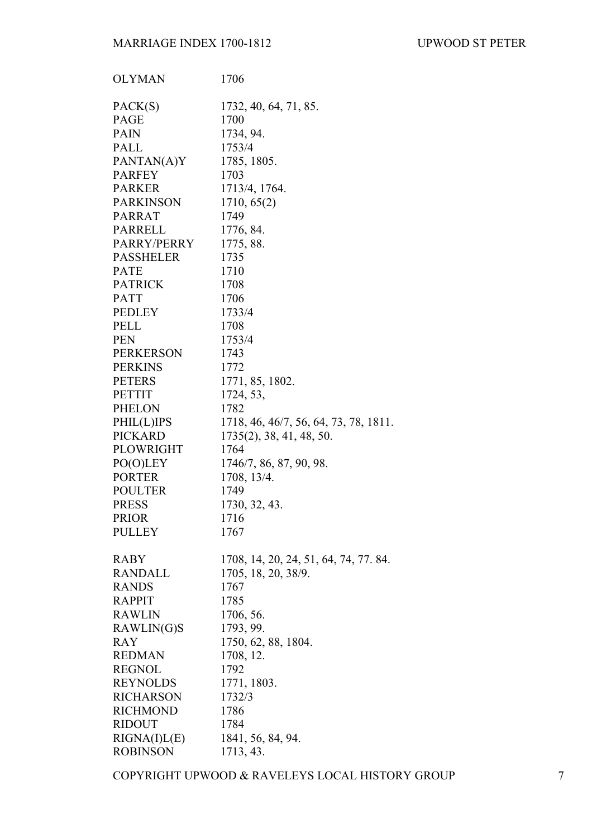| <b>OLYMAN</b>    | 1706                                  |
|------------------|---------------------------------------|
| PACK(S)          | 1732, 40, 64, 71, 85.                 |
| <b>PAGE</b>      | 1700                                  |
| <b>PAIN</b>      | 1734, 94.                             |
| <b>PALL</b>      | 1753/4                                |
| PANTAN(A)Y       | 1785, 1805.                           |
| <b>PARFEY</b>    | 1703                                  |
| <b>PARKER</b>    | 1713/4, 1764.                         |
| <b>PARKINSON</b> | 1710, 65(2)                           |
| <b>PARRAT</b>    | 1749                                  |
| <b>PARRELL</b>   | 1776, 84.                             |
| PARRY/PERRY      | 1775, 88.                             |
| <b>PASSHELER</b> | 1735                                  |
| <b>PATE</b>      | 1710                                  |
| <b>PATRICK</b>   | 1708                                  |
| <b>PATT</b>      | 1706                                  |
| <b>PEDLEY</b>    | 1733/4                                |
| <b>PELL</b>      | 1708                                  |
| <b>PEN</b>       | 1753/4                                |
| <b>PERKERSON</b> | 1743                                  |
| <b>PERKINS</b>   | 1772                                  |
| <b>PETERS</b>    | 1771, 85, 1802.                       |
| <b>PETTIT</b>    | 1724, 53,                             |
| <b>PHELON</b>    | 1782                                  |
| PHIL(L)IPS       | 1718, 46, 46/7, 56, 64, 73, 78, 1811. |
| <b>PICKARD</b>   | $1735(2)$ , 38, 41, 48, 50.           |
| PLOWRIGHT        | 1764                                  |
| PO(O)LEY         | 1746/7, 86, 87, 90, 98.               |
| <b>PORTER</b>    | 1708, 13/4.                           |
| <b>POULTER</b>   | 1749                                  |
| <b>PRESS</b>     | 1730, 32, 43.                         |
| <b>PRIOR</b>     | 1716                                  |
| <b>PULLEY</b>    | 1767                                  |
| <b>RABY</b>      | 1708, 14, 20, 24, 51, 64, 74, 77. 84. |
| <b>RANDALL</b>   | 1705, 18, 20, 38/9.                   |
| <b>RANDS</b>     | 1767                                  |
| <b>RAPPIT</b>    | 1785                                  |
| <b>RAWLIN</b>    | 1706, 56.                             |
| RAWLIN(G)S       | 1793, 99.                             |
| <b>RAY</b>       | 1750, 62, 88, 1804.                   |
| <b>REDMAN</b>    | 1708, 12.                             |
| <b>REGNOL</b>    | 1792                                  |
| <b>REYNOLDS</b>  | 1771, 1803.                           |
| <b>RICHARSON</b> | 1732/3                                |
| <b>RICHMOND</b>  | 1786                                  |
| <b>RIDOUT</b>    | 1784                                  |
| RIGNA(I)L(E)     | 1841, 56, 84, 94.                     |
| <b>ROBINSON</b>  | 1713, 43.                             |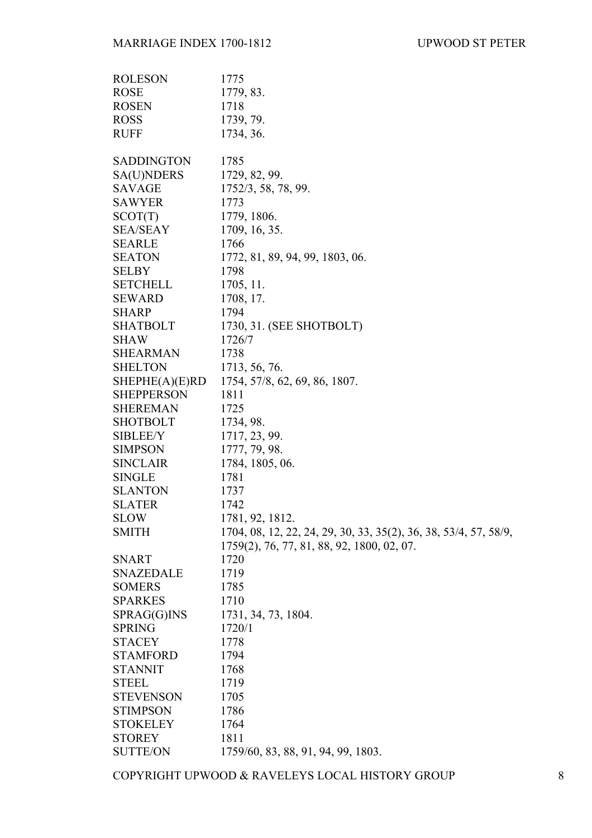| 1779, 83.<br>1718<br>1739, 79.<br>1734, 36.<br>1785<br>SA(U)NDERS<br>1729, 82, 99.<br>1752/3, 58, 78, 99.<br>1773<br>SCOT(T)<br>1779, 1806.<br><b>SEA/SEAY</b><br>1709, 16, 35.<br><b>SEARLE</b><br>1766<br><b>SEATON</b><br>1772, 81, 89, 94, 99, 1803, 06.<br>1798<br><b>SELBY</b><br><b>SETCHELL</b><br>1705, 11.<br><b>SEWARD</b><br>1708, 17.<br><b>SHARP</b><br>1794<br>1730, 31. (SEE SHOTBOLT)<br><b>SHATBOLT</b><br><b>SHAW</b><br>1726/7<br><b>SHEARMAN</b><br>1738<br><b>SHELTON</b><br>1713, 56, 76.<br>SHEPHE(A)(E)RD<br>1754, 57/8, 62, 69, 86, 1807.<br><b>SHEPPERSON</b><br>1811<br><b>SHEREMAN</b><br>1725<br><b>SHOTBOLT</b><br>1734, 98.<br><b>SIBLEE/Y</b><br>1717, 23, 99.<br>1777, 79, 98.<br><b>SIMPSON</b><br><b>SINCLAIR</b><br>1784, 1805, 06.<br><b>SINGLE</b><br>1781<br><b>SLANTON</b><br>1737<br><b>SLATER</b><br>1742<br><b>SLOW</b><br>1781, 92, 1812.<br><b>SMITH</b><br>1704, 08, 12, 22, 24, 29, 30, 33, 35(2), 36, 38, 53/4, 57, 58/9,<br>1759(2), 76, 77, 81, 88, 92, 1800, 02, 07.<br><b>SNART</b><br>1720<br><b>SNAZEDALE</b><br>1719<br><b>SOMERS</b><br>1785<br>1710<br><b>SPARKES</b><br>SPRAG(G)INS<br>1731, 34, 73, 1804.<br><b>SPRING</b><br>1720/1<br><b>STACEY</b><br>1778<br><b>STAMFORD</b><br>1794<br><b>STANNIT</b><br>1768<br><b>STEEL</b><br>1719<br><b>STEVENSON</b><br>1705<br><b>STIMPSON</b><br>1786<br><b>STOKELEY</b><br>1764<br><b>STOREY</b><br>1811 | <b>ROLESON</b>    | 1775                               |
|-------------------------------------------------------------------------------------------------------------------------------------------------------------------------------------------------------------------------------------------------------------------------------------------------------------------------------------------------------------------------------------------------------------------------------------------------------------------------------------------------------------------------------------------------------------------------------------------------------------------------------------------------------------------------------------------------------------------------------------------------------------------------------------------------------------------------------------------------------------------------------------------------------------------------------------------------------------------------------------------------------------------------------------------------------------------------------------------------------------------------------------------------------------------------------------------------------------------------------------------------------------------------------------------------------------------------------------------------------------------------------------------------------------------|-------------------|------------------------------------|
|                                                                                                                                                                                                                                                                                                                                                                                                                                                                                                                                                                                                                                                                                                                                                                                                                                                                                                                                                                                                                                                                                                                                                                                                                                                                                                                                                                                                                   | <b>ROSE</b>       |                                    |
|                                                                                                                                                                                                                                                                                                                                                                                                                                                                                                                                                                                                                                                                                                                                                                                                                                                                                                                                                                                                                                                                                                                                                                                                                                                                                                                                                                                                                   | <b>ROSEN</b>      |                                    |
|                                                                                                                                                                                                                                                                                                                                                                                                                                                                                                                                                                                                                                                                                                                                                                                                                                                                                                                                                                                                                                                                                                                                                                                                                                                                                                                                                                                                                   | <b>ROSS</b>       |                                    |
|                                                                                                                                                                                                                                                                                                                                                                                                                                                                                                                                                                                                                                                                                                                                                                                                                                                                                                                                                                                                                                                                                                                                                                                                                                                                                                                                                                                                                   | <b>RUFF</b>       |                                    |
|                                                                                                                                                                                                                                                                                                                                                                                                                                                                                                                                                                                                                                                                                                                                                                                                                                                                                                                                                                                                                                                                                                                                                                                                                                                                                                                                                                                                                   |                   |                                    |
|                                                                                                                                                                                                                                                                                                                                                                                                                                                                                                                                                                                                                                                                                                                                                                                                                                                                                                                                                                                                                                                                                                                                                                                                                                                                                                                                                                                                                   | <b>SADDINGTON</b> |                                    |
|                                                                                                                                                                                                                                                                                                                                                                                                                                                                                                                                                                                                                                                                                                                                                                                                                                                                                                                                                                                                                                                                                                                                                                                                                                                                                                                                                                                                                   |                   |                                    |
|                                                                                                                                                                                                                                                                                                                                                                                                                                                                                                                                                                                                                                                                                                                                                                                                                                                                                                                                                                                                                                                                                                                                                                                                                                                                                                                                                                                                                   | SAVAGE            |                                    |
|                                                                                                                                                                                                                                                                                                                                                                                                                                                                                                                                                                                                                                                                                                                                                                                                                                                                                                                                                                                                                                                                                                                                                                                                                                                                                                                                                                                                                   | <b>SAWYER</b>     |                                    |
|                                                                                                                                                                                                                                                                                                                                                                                                                                                                                                                                                                                                                                                                                                                                                                                                                                                                                                                                                                                                                                                                                                                                                                                                                                                                                                                                                                                                                   |                   |                                    |
|                                                                                                                                                                                                                                                                                                                                                                                                                                                                                                                                                                                                                                                                                                                                                                                                                                                                                                                                                                                                                                                                                                                                                                                                                                                                                                                                                                                                                   |                   |                                    |
|                                                                                                                                                                                                                                                                                                                                                                                                                                                                                                                                                                                                                                                                                                                                                                                                                                                                                                                                                                                                                                                                                                                                                                                                                                                                                                                                                                                                                   |                   |                                    |
|                                                                                                                                                                                                                                                                                                                                                                                                                                                                                                                                                                                                                                                                                                                                                                                                                                                                                                                                                                                                                                                                                                                                                                                                                                                                                                                                                                                                                   |                   |                                    |
|                                                                                                                                                                                                                                                                                                                                                                                                                                                                                                                                                                                                                                                                                                                                                                                                                                                                                                                                                                                                                                                                                                                                                                                                                                                                                                                                                                                                                   |                   |                                    |
|                                                                                                                                                                                                                                                                                                                                                                                                                                                                                                                                                                                                                                                                                                                                                                                                                                                                                                                                                                                                                                                                                                                                                                                                                                                                                                                                                                                                                   |                   |                                    |
|                                                                                                                                                                                                                                                                                                                                                                                                                                                                                                                                                                                                                                                                                                                                                                                                                                                                                                                                                                                                                                                                                                                                                                                                                                                                                                                                                                                                                   |                   |                                    |
|                                                                                                                                                                                                                                                                                                                                                                                                                                                                                                                                                                                                                                                                                                                                                                                                                                                                                                                                                                                                                                                                                                                                                                                                                                                                                                                                                                                                                   |                   |                                    |
|                                                                                                                                                                                                                                                                                                                                                                                                                                                                                                                                                                                                                                                                                                                                                                                                                                                                                                                                                                                                                                                                                                                                                                                                                                                                                                                                                                                                                   |                   |                                    |
|                                                                                                                                                                                                                                                                                                                                                                                                                                                                                                                                                                                                                                                                                                                                                                                                                                                                                                                                                                                                                                                                                                                                                                                                                                                                                                                                                                                                                   |                   |                                    |
|                                                                                                                                                                                                                                                                                                                                                                                                                                                                                                                                                                                                                                                                                                                                                                                                                                                                                                                                                                                                                                                                                                                                                                                                                                                                                                                                                                                                                   |                   |                                    |
|                                                                                                                                                                                                                                                                                                                                                                                                                                                                                                                                                                                                                                                                                                                                                                                                                                                                                                                                                                                                                                                                                                                                                                                                                                                                                                                                                                                                                   |                   |                                    |
|                                                                                                                                                                                                                                                                                                                                                                                                                                                                                                                                                                                                                                                                                                                                                                                                                                                                                                                                                                                                                                                                                                                                                                                                                                                                                                                                                                                                                   |                   |                                    |
|                                                                                                                                                                                                                                                                                                                                                                                                                                                                                                                                                                                                                                                                                                                                                                                                                                                                                                                                                                                                                                                                                                                                                                                                                                                                                                                                                                                                                   |                   |                                    |
|                                                                                                                                                                                                                                                                                                                                                                                                                                                                                                                                                                                                                                                                                                                                                                                                                                                                                                                                                                                                                                                                                                                                                                                                                                                                                                                                                                                                                   |                   |                                    |
|                                                                                                                                                                                                                                                                                                                                                                                                                                                                                                                                                                                                                                                                                                                                                                                                                                                                                                                                                                                                                                                                                                                                                                                                                                                                                                                                                                                                                   |                   |                                    |
|                                                                                                                                                                                                                                                                                                                                                                                                                                                                                                                                                                                                                                                                                                                                                                                                                                                                                                                                                                                                                                                                                                                                                                                                                                                                                                                                                                                                                   |                   |                                    |
|                                                                                                                                                                                                                                                                                                                                                                                                                                                                                                                                                                                                                                                                                                                                                                                                                                                                                                                                                                                                                                                                                                                                                                                                                                                                                                                                                                                                                   |                   |                                    |
|                                                                                                                                                                                                                                                                                                                                                                                                                                                                                                                                                                                                                                                                                                                                                                                                                                                                                                                                                                                                                                                                                                                                                                                                                                                                                                                                                                                                                   |                   |                                    |
|                                                                                                                                                                                                                                                                                                                                                                                                                                                                                                                                                                                                                                                                                                                                                                                                                                                                                                                                                                                                                                                                                                                                                                                                                                                                                                                                                                                                                   |                   |                                    |
|                                                                                                                                                                                                                                                                                                                                                                                                                                                                                                                                                                                                                                                                                                                                                                                                                                                                                                                                                                                                                                                                                                                                                                                                                                                                                                                                                                                                                   |                   |                                    |
|                                                                                                                                                                                                                                                                                                                                                                                                                                                                                                                                                                                                                                                                                                                                                                                                                                                                                                                                                                                                                                                                                                                                                                                                                                                                                                                                                                                                                   |                   |                                    |
|                                                                                                                                                                                                                                                                                                                                                                                                                                                                                                                                                                                                                                                                                                                                                                                                                                                                                                                                                                                                                                                                                                                                                                                                                                                                                                                                                                                                                   |                   |                                    |
|                                                                                                                                                                                                                                                                                                                                                                                                                                                                                                                                                                                                                                                                                                                                                                                                                                                                                                                                                                                                                                                                                                                                                                                                                                                                                                                                                                                                                   |                   |                                    |
|                                                                                                                                                                                                                                                                                                                                                                                                                                                                                                                                                                                                                                                                                                                                                                                                                                                                                                                                                                                                                                                                                                                                                                                                                                                                                                                                                                                                                   |                   |                                    |
|                                                                                                                                                                                                                                                                                                                                                                                                                                                                                                                                                                                                                                                                                                                                                                                                                                                                                                                                                                                                                                                                                                                                                                                                                                                                                                                                                                                                                   |                   |                                    |
|                                                                                                                                                                                                                                                                                                                                                                                                                                                                                                                                                                                                                                                                                                                                                                                                                                                                                                                                                                                                                                                                                                                                                                                                                                                                                                                                                                                                                   |                   |                                    |
|                                                                                                                                                                                                                                                                                                                                                                                                                                                                                                                                                                                                                                                                                                                                                                                                                                                                                                                                                                                                                                                                                                                                                                                                                                                                                                                                                                                                                   |                   |                                    |
|                                                                                                                                                                                                                                                                                                                                                                                                                                                                                                                                                                                                                                                                                                                                                                                                                                                                                                                                                                                                                                                                                                                                                                                                                                                                                                                                                                                                                   |                   |                                    |
|                                                                                                                                                                                                                                                                                                                                                                                                                                                                                                                                                                                                                                                                                                                                                                                                                                                                                                                                                                                                                                                                                                                                                                                                                                                                                                                                                                                                                   |                   |                                    |
|                                                                                                                                                                                                                                                                                                                                                                                                                                                                                                                                                                                                                                                                                                                                                                                                                                                                                                                                                                                                                                                                                                                                                                                                                                                                                                                                                                                                                   |                   |                                    |
|                                                                                                                                                                                                                                                                                                                                                                                                                                                                                                                                                                                                                                                                                                                                                                                                                                                                                                                                                                                                                                                                                                                                                                                                                                                                                                                                                                                                                   |                   |                                    |
|                                                                                                                                                                                                                                                                                                                                                                                                                                                                                                                                                                                                                                                                                                                                                                                                                                                                                                                                                                                                                                                                                                                                                                                                                                                                                                                                                                                                                   |                   |                                    |
|                                                                                                                                                                                                                                                                                                                                                                                                                                                                                                                                                                                                                                                                                                                                                                                                                                                                                                                                                                                                                                                                                                                                                                                                                                                                                                                                                                                                                   |                   |                                    |
|                                                                                                                                                                                                                                                                                                                                                                                                                                                                                                                                                                                                                                                                                                                                                                                                                                                                                                                                                                                                                                                                                                                                                                                                                                                                                                                                                                                                                   |                   |                                    |
|                                                                                                                                                                                                                                                                                                                                                                                                                                                                                                                                                                                                                                                                                                                                                                                                                                                                                                                                                                                                                                                                                                                                                                                                                                                                                                                                                                                                                   |                   |                                    |
|                                                                                                                                                                                                                                                                                                                                                                                                                                                                                                                                                                                                                                                                                                                                                                                                                                                                                                                                                                                                                                                                                                                                                                                                                                                                                                                                                                                                                   |                   |                                    |
|                                                                                                                                                                                                                                                                                                                                                                                                                                                                                                                                                                                                                                                                                                                                                                                                                                                                                                                                                                                                                                                                                                                                                                                                                                                                                                                                                                                                                   |                   |                                    |
|                                                                                                                                                                                                                                                                                                                                                                                                                                                                                                                                                                                                                                                                                                                                                                                                                                                                                                                                                                                                                                                                                                                                                                                                                                                                                                                                                                                                                   |                   |                                    |
|                                                                                                                                                                                                                                                                                                                                                                                                                                                                                                                                                                                                                                                                                                                                                                                                                                                                                                                                                                                                                                                                                                                                                                                                                                                                                                                                                                                                                   | <b>SUTTE/ON</b>   | 1759/60, 83, 88, 91, 94, 99, 1803. |